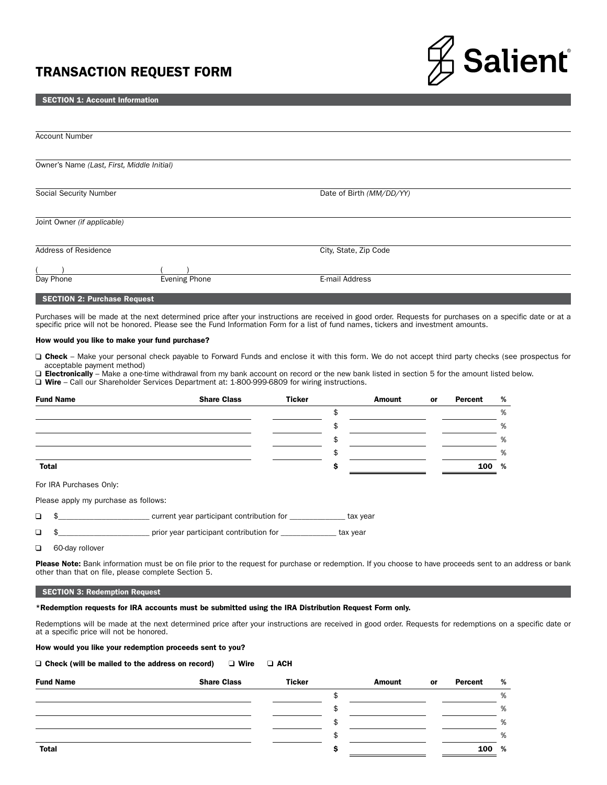# TRANSACTION REQUEST FORM



#### SECTION 1: Account Information

| <b>Account Number</b>                      |                      |                          |  |
|--------------------------------------------|----------------------|--------------------------|--|
| Owner's Name (Last, First, Middle Initial) |                      |                          |  |
| Social Security Number                     |                      | Date of Birth (MM/DD/YY) |  |
| Joint Owner (if applicable)                |                      |                          |  |
| Address of Residence                       |                      | City, State, Zip Code    |  |
| Day Phone                                  | <b>Evening Phone</b> | E-mail Address           |  |
| <b>SECTION 2: Purchase Request</b>         |                      |                          |  |

Purchases will be made at the next determined price after your instructions are received in good order. Requests for purchases on a specific date or at a specific price will not be honored. Please see the Fund Information Form for a list of fund names, tickers and investment amounts.

## How would you like to make your fund purchase?

□ Check – Make your personal check payable to Forward Funds and enclose it with this form. We do not accept third party checks (see prospectus for acceptable payment method)

□ Electronically – Make a one-time withdrawal from my bank account on record or the new bank listed in section 5 for the amount listed below.

Wire – Call our Shareholder Services Department at: 1-800-999-6809 for wiring instructions.

| <b>Fund Name</b>                     | <b>Share Class</b> | <b>Ticker</b> |    | Amount | or | Percent | % |
|--------------------------------------|--------------------|---------------|----|--------|----|---------|---|
|                                      |                    |               | \$ |        |    |         | % |
|                                      |                    |               | S. |        |    |         | % |
|                                      |                    |               | ъ  |        |    |         | % |
|                                      |                    |               |    |        |    |         | % |
| <b>Total</b>                         |                    |               |    |        |    | 100     | % |
| For IRA Purchases Only:              |                    |               |    |        |    |         |   |
| Please apply my purchase as follows: |                    |               |    |        |    |         |   |

 $\Box$ \$\_\_\_\_\_\_\_\_\_\_\_\_\_\_\_\_\_\_\_\_\_\_\_\_\_\_\_\_\_\_\_\_\_\_\_ current year participant contribution for \_\_\_\_\_\_\_\_\_\_\_\_\_\_\_\_\_\_\_ tax year

\$\_\_\_\_\_\_\_\_\_\_\_\_\_\_\_\_\_\_\_\_\_\_\_ prior year participant contribution for \_\_\_\_\_\_\_\_\_\_\_\_\_\_ tax year  $\Box$ 

 $\Box$ 60-day rollover

Please Note: Bank information must be on file prior to the request for purchase or redemption. If you choose to have proceeds sent to an address or bank other than that on file, please complete Section 5.

# SECTION 3: Redemption Request

\*Redemption requests for IRA accounts must be submitted using the IRA Distribution Request Form only.

Redemptions will be made at the next determined price after your instructions are received in good order. Requests for redemptions on a specific date or at a specific price will not be honored.

How would you like your redemption proceeds sent to you?

| $\Box$ Check (will be mailed to the address on record) | $\Box$ Wire $\Box$ ACH |  |
|--------------------------------------------------------|------------------------|--|
|--------------------------------------------------------|------------------------|--|

| <b>Fund Name</b> | <b>Share Class</b> | <b>Ticker</b> | Amount | <b>or</b> | Percent | %     |
|------------------|--------------------|---------------|--------|-----------|---------|-------|
|                  |                    |               |        |           |         | %     |
|                  |                    |               |        |           |         | %     |
|                  |                    |               |        |           |         | %     |
|                  |                    |               |        |           |         | %     |
| <b>Total</b>     |                    |               |        |           |         | 100 % |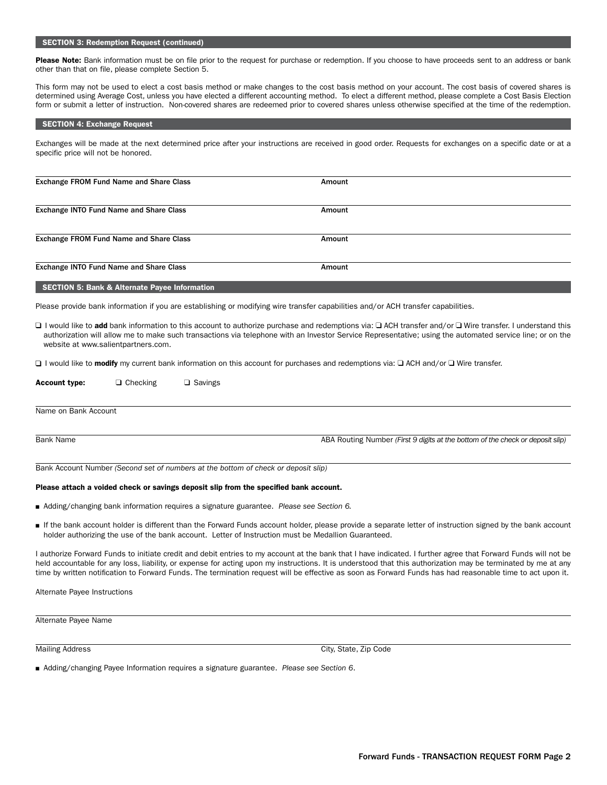# SECTION 3: Redemption Request (continued)

Please Note: Bank information must be on file prior to the request for purchase or redemption. If you choose to have proceeds sent to an address or bank other than that on file, please complete Section 5.

This form may not be used to elect a cost basis method or make changes to the cost basis method on your account. The cost basis of covered shares is determined using Average Cost, unless you have elected a different accounting method. To elect a different method, please complete a Cost Basis Election form or submit a letter of instruction. Non-covered shares are redeemed prior to covered shares unless otherwise specified at the time of the redemption.

#### SECTION 4: Exchange Request

Exchanges will be made at the next determined price after your instructions are received in good order. Requests for exchanges on a specific date or at a specific price will not be honored.

| Exchange FROM Fund Name and Share Class | Amount |  |
|-----------------------------------------|--------|--|
| Exchange INTO Fund Name and Share Class | Amount |  |
| Exchange FROM Fund Name and Share Class | Amount |  |
| Exchange INTO Fund Name and Share Class | Amount |  |

## SECTION 5: Bank & Alternate Payee Information

Please provide bank information if you are establishing or modifying wire transfer capabilities and/or ACH transfer capabilities.

□ I would like to add bank information to this account to authorize purchase and redemptions via: □ ACH transfer and/or □ Wire transfer. I understand this authorization will allow me to make such transactions via telephone with an Investor Service Representative; using the automated service line; or on the website at www.salientpartners.com.

**□** I would like to modify my current bank information on this account for purchases and redemptions via: □ ACH and/or □ Wire transfer.

| <b>Account type:</b> | $\Box$ Checking | $\Box$ Savings |                                                                                |
|----------------------|-----------------|----------------|--------------------------------------------------------------------------------|
|                      |                 |                |                                                                                |
|                      |                 |                |                                                                                |
|                      |                 |                |                                                                                |
| Name on Bank Account |                 |                |                                                                                |
|                      |                 |                |                                                                                |
|                      |                 |                |                                                                                |
| <b>Bank Name</b>     |                 |                | ABA Routing Number (First 9 digits at the bottom of the check or deposit slip) |
|                      |                 |                |                                                                                |
|                      |                 |                |                                                                                |

Bank Account Number *(Second set of numbers at the bottom of check or deposit slip)*

## Please attach a voided check or savings deposit slip from the specified bank account.

- <sup>n</sup> Adding/changing bank information requires a signature guarantee. *Please see Section 6.*
- <sup>n</sup> If the bank account holder is different than the Forward Funds account holder, please provide a separate letter of instruction signed by the bank account holder authorizing the use of the bank account. Letter of Instruction must be Medallion Guaranteed.

I authorize Forward Funds to initiate credit and debit entries to my account at the bank that I have indicated. I further agree that Forward Funds will not be held accountable for any loss, liability, or expense for acting upon my instructions. It is understood that this authorization may be terminated by me at any time by written notification to Forward Funds. The termination request will be effective as soon as Forward Funds has had reasonable time to act upon it.

Alternate Payee Instructions

| Alternate Payee Name |  |  |
|----------------------|--|--|
|----------------------|--|--|

Mailing Address City, State, Zip Code

<sup>n</sup> Adding/changing Payee Information requires a signature guarantee. *Please see Section 6*.